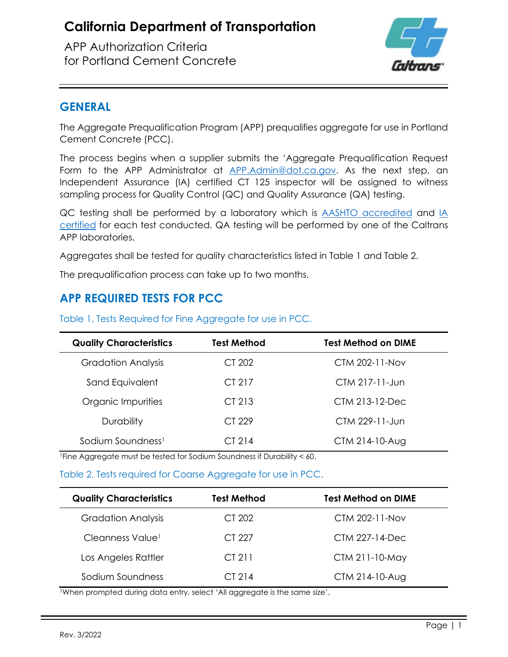APP Authorization Criteria for Portland Cement Concrete



#### **GENERAL**

The Aggregate Prequalification Program (APP) prequalifies aggregate for use in Portland Cement Concrete (PCC).

The process begins when a supplier submits the 'Aggregate Prequalification Request Form to the APP Administrator at [APP.Admin@dot.ca.gov.](mailto:APP.Admin@dot.ca.gov) As the next step, an Independent Assurance (IA) certified CT 125 inspector will be assigned to witness sampling process for Quality Control (QC) and Quality Assurance (QA) testing.

QC testing shall be performed by a laboratory which is **AASHTO** accredited and [IA](https://sia.dot.ca.gov/) [certified](https://sia.dot.ca.gov/) for each test conducted. QA testing will be performed by one of the Caltrans APP laboratories.

Aggregates shall be tested for quality characteristics listed in Table 1 and Table 2.

The prequalification process can take up to two months.

## **APP REQUIRED TESTS FOR PCC**

| <b>Quality Characteristics</b> | <b>Test Method</b> | <b>Test Method on DIME</b> |
|--------------------------------|--------------------|----------------------------|
| <b>Gradation Analysis</b>      | CT 202             | CTM 202-11-Nov             |
| Sand Equivalent                | CT 217             | CTM 217-11-Jun             |
| Organic Impurities             | CT 213             | CTM 213-12-Dec             |
| Durability                     | CT 229             | CTM 229-11-Jun             |
| Sodium Soundness <sup>1</sup>  | CI <sub>214</sub>  | CTM 214-10-Aug             |

Table 1. Tests Required for Fine Aggregate for use in PCC.

<sup>1</sup>Fine Aggregate must be tested for Sodium Soundness if Durability < 60.

#### Table 2. Tests required for Coarse Aggregate for use in PCC.

| <b>Quality Characteristics</b> | <b>Test Method</b> | <b>Test Method on DIME</b> |
|--------------------------------|--------------------|----------------------------|
| <b>Gradation Analysis</b>      | CT 202             | CTM 202-11-Nov             |
| Cleanness Value <sup>1</sup>   | CT 227             | CTM 227-14-Dec             |
| Los Angeles Rattler            | CT 211             | CTM 211-10-May             |
| Sodium Soundness               | CI <sub>214</sub>  | CTM 214-10-Aug             |

1When prompted during data entry, select 'All aggregate is the same size'.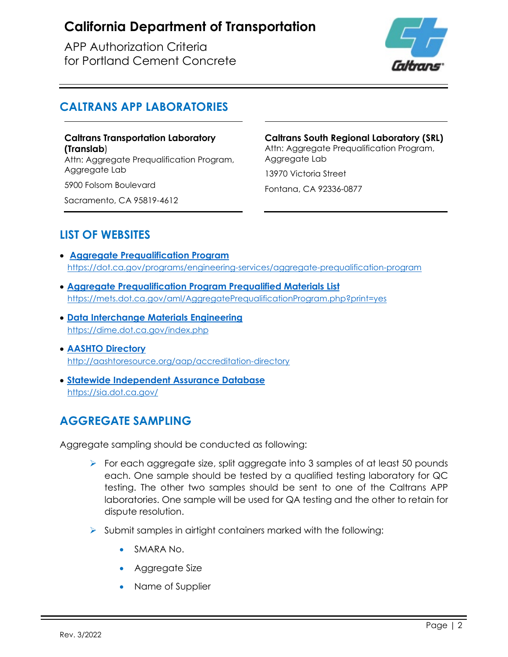APP Authorization Criteria for Portland Cement Concrete



### **CALTRANS APP LABORATORIES**

**Caltrans Transportation Laboratory (Translab**) Attn: Aggregate Prequalification Program,

Aggregate Lab

5900 Folsom Boulevard

Sacramento, CA 95819-4612

**Caltrans South Regional Laboratory (SRL)** Attn: Aggregate Prequalification Program, Aggregate Lab 13970 Victoria Street

Fontana, CA 92336-0877

## **LIST OF WEBSITES**

- **[Aggregate Prequalification Program](https://dot.ca.gov/programs/engineering-services/aggregate-prequalification-program)** <https://dot.ca.gov/programs/engineering-services/aggregate-prequalification-program>
- **[Aggregate Prequalification Program Prequalified Materials List](https://mets.dot.ca.gov/aml/AggregatePrequalificationProgram.php?print=yes)** <https://mets.dot.ca.gov/aml/AggregatePrequalificationProgram.php?print=yes>
- **[Data Interchange Materials Engineering](https://dime.dot.ca.gov/index.php)** <https://dime.dot.ca.gov/index.php>
- **[AASHTO Directory](http://aashtoresource.org/aap/accreditation-directory)** <http://aashtoresource.org/aap/accreditation-directory>
- **[Statewide Independent Assurance Database](https://sia.dot.ca.gov/)** <https://sia.dot.ca.gov/>

## **AGGREGATE SAMPLING**

Aggregate sampling should be conducted as following:

- $\triangleright$  For each aggregate size, split aggregate into 3 samples of at least 50 pounds each. One sample should be tested by a qualified testing laboratory for QC testing. The other two samples should be sent to one of the Caltrans APP laboratories. One sample will be used for QA testing and the other to retain for dispute resolution.
- $\triangleright$  Submit samples in airtight containers marked with the following:
	- SMARA No.
	- Aggregate Size
	- Name of Supplier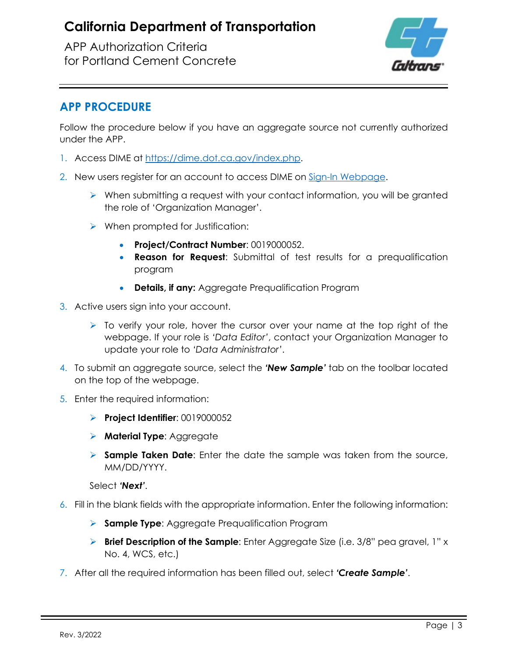APP Authorization Criteria for Portland Cement Concrete



#### **APP PROCEDURE**

Follow the procedure below if you have an aggregate source not currently authorized under the APP.

- 1. Access DIME at [https://dime.dot.ca.gov/index.php.](https://dime.dot.ca.gov/index.php)
- 2. New users register for an account to access DIME on [Sign-In Webpage.](https://dime.dot.ca.gov/index.php?r=site/login)
	- $\triangleright$  When submitting a request with your contact information, you will be granted the role of 'Organization Manager'.
	- When prompted for Justification:
		- **Project/Contract Number**: 0019000052.
		- **Reason for Request**: Submittal of test results for a prequalification program
		- **Details, if any:** Aggregate Prequalification Program
- 3. Active users sign into your account.
	- $\triangleright$  To verify your role, hover the cursor over your name at the top right of the webpage. If your role is *'Data Editor'*, contact your Organization Manager to update your role to *'Data Administrator'*.
- 4. To submit an aggregate source, select the *'New Sample'* tab on the toolbar located on the top of the webpage.
- 5. Enter the required information:
	- **Project Identifier**: 0019000052
	- **Material Type**: Aggregate
	- **Sample Taken Date**: Enter the date the sample was taken from the source, MM/DD/YYYY.

Select *'Next'*.

- 6. Fill in the blank fields with the appropriate information. Enter the following information:
	- **Sample Type**: Aggregate Prequalification Program
	- **Brief Description of the Sample**: Enter Aggregate Size (i.e. 3/8" pea gravel, 1" x No. 4, WCS, etc.)
- 7. After all the required information has been filled out, select *'Create Sample'*.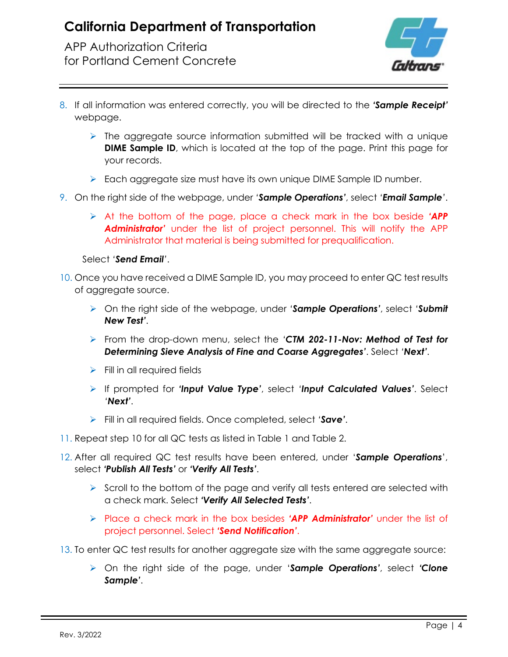APP Authorization Criteria for Portland Cement Concrete



- 8. If all information was entered correctly, you will be directed to the *'Sample Receipt'* webpage.
	- $\triangleright$  The aggregate source information submitted will be tracked with a unique **DIME Sample ID**, which is located at the top of the page. Print this page for your records.
	- Each aggregate size must have its own unique DIME Sample ID number.
- 9. On the right side of the webpage, under *'Sample Operations'*, select *'Email Sample'*.
	- At the bottom of the page, place a check mark in the box beside *'APP Administrator'* under the list of project personnel. This will notify the APP Administrator that material is being submitted for prequalification.

#### Select *'Send Email'*.

- 10. Once you have received a DIME Sample ID, you may proceed to enter QC test results of aggregate source.
	- On the right side of the webpage, under *'Sample Operations'*, select *'Submit New Test'*.
	- From the drop-down menu, select the *'CTM 202-11-Nov: Method of Test for Determining Sieve Analysis of Fine and Coarse Aggregates'*. Select *'Next'*.
	- $\triangleright$  Fill in all required fields
	- If prompted for *'Input Value Type'*, select *'Input Calculated Values'*. Select *'Next'*.
	- Fill in all required fields. Once completed, select *'Save'*.
- 11. Repeat step 10 for all QC tests as listed in Table 1 and Table 2.
- 12. After all required QC test results have been entered, under '*Sample Operations*', select *'Publish All Tests'* or *'Verify All Tests'*.
	- $\triangleright$  Scroll to the bottom of the page and verify all tests entered are selected with a check mark. Select *'Verify All Selected Tests'*.
	- Place a check mark in the box besides *'APP Administrator'* under the list of project personnel. Select *'Send Notification'*.
- 13. To enter QC test results for another aggregate size with the same aggregate source:
	- On the right side of the page, under '*Sample Operations'*, select *'Clone Sample'*.